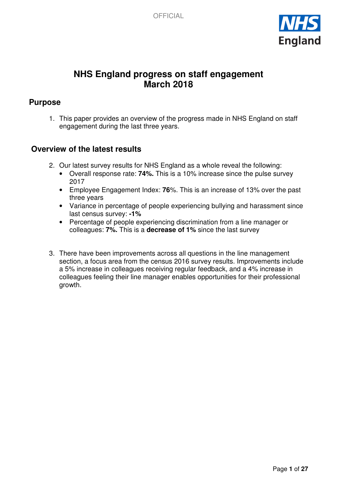

# **NHS England progress on staff engagement March 2018**

## **Purpose**

1. This paper provides an overview of the progress made in NHS England on staff engagement during the last three years.

## **Overview of the latest results**

- 2. Our latest survey results for NHS England as a whole reveal the following:
	- Overall response rate: **74%.** This is a 10% increase since the pulse survey 2017
	- Employee Engagement Index: **76**%. This is an increase of 13% over the past three years
	- Variance in percentage of people experiencing bullying and harassment since last census survey: **-1%**
	- Percentage of people experiencing discrimination from a line manager or colleagues: **7%.** This is a **decrease of 1%** since the last survey
- 3. There have been improvements across all questions in the line management section, a focus area from the census 2016 survey results. Improvements include a 5% increase in colleagues receiving regular feedback, and a 4% increase in colleagues feeling their line manager enables opportunities for their professional growth.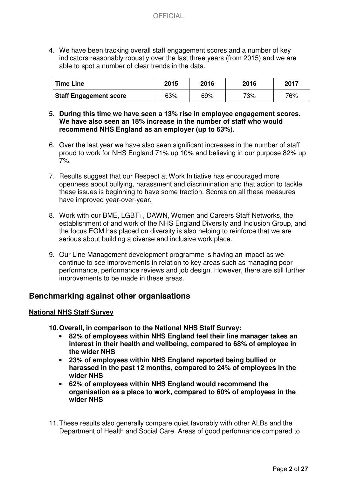4. We have been tracking overall staff engagement scores and a number of key indicators reasonably robustly over the last three years (from 2015) and we are able to spot a number of clear trends in the data.

| <b>Time Line</b>              | 2015 | 2016 | 2016 | 2017 |
|-------------------------------|------|------|------|------|
| <b>Staff Engagement score</b> | 63%  | 69%  | 73%  | 76%  |

- **5. During this time we have seen a 13% rise in employee engagement scores. We have also seen an 18% increase in the number of staff who would recommend NHS England as an employer (up to 63%).**
- 6. Over the last year we have also seen significant increases in the number of staff proud to work for NHS England 71% up 10% and believing in our purpose 82% up 7%.
- 7. Results suggest that our Respect at Work Initiative has encouraged more openness about bullying, harassment and discrimination and that action to tackle these issues is beginning to have some traction. Scores on all these measures have improved year-over-year.
- 8. Work with our BME, LGBT+, DAWN, Women and Careers Staff Networks, the establishment of and work of the NHS England Diversity and Inclusion Group, and the focus EGM has placed on diversity is also helping to reinforce that we are serious about building a diverse and inclusive work place.
- 9. Our Line Management development programme is having an impact as we continue to see improvements in relation to key areas such as managing poor performance, performance reviews and job design. However, there are still further improvements to be made in these areas.

### **Benchmarking against other organisations**

#### **National NHS Staff Survey**

**10. Overall, in comparison to the National NHS Staff Survey:** 

- **82% of employees within NHS England feel their line manager takes an interest in their health and wellbeing, compared to 68% of employee in the wider NHS**
- **23% of employees within NHS England reported being bullied or harassed in the past 12 months, compared to 24% of employees in the wider NHS**
- **62% of employees within NHS England would recommend the organisation as a place to work, compared to 60% of employees in the wider NHS**
- 11. These results also generally compare quiet favorably with other ALBs and the Department of Health and Social Care. Areas of good performance compared to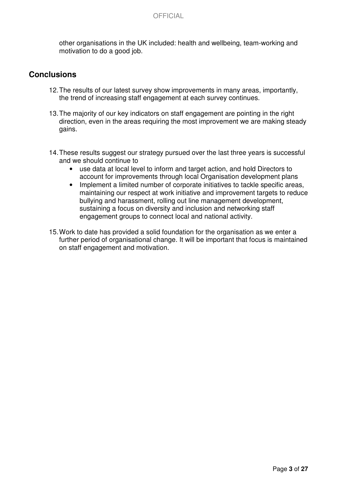other organisations in the UK included: health and wellbeing, team-working and motivation to do a good job.

### **Conclusions**

- 12. The results of our latest survey show improvements in many areas, importantly, the trend of increasing staff engagement at each survey continues.
- 13. The majority of our key indicators on staff engagement are pointing in the right direction, even in the areas requiring the most improvement we are making steady gains.
- 14. These results suggest our strategy pursued over the last three years is successful and we should continue to
	- use data at local level to inform and target action, and hold Directors to account for improvements through local Organisation development plans
	- Implement a limited number of corporate initiatives to tackle specific areas, maintaining our respect at work initiative and improvement targets to reduce bullying and harassment, rolling out line management development, sustaining a focus on diversity and inclusion and networking staff engagement groups to connect local and national activity.
- 15. Work to date has provided a solid foundation for the organisation as we enter a further period of organisational change. It will be important that focus is maintained on staff engagement and motivation.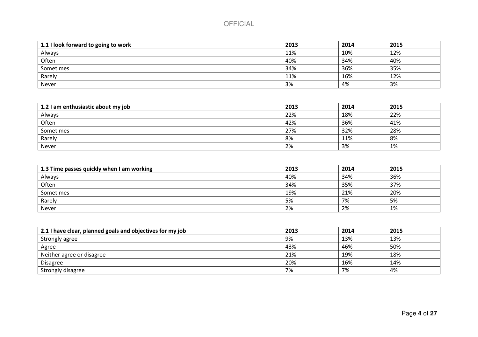| 1.1 I look forward to going to work | 2013 | 2014 | 2015 |
|-------------------------------------|------|------|------|
| Always                              | 11%  | 10%  | 12%  |
| Often                               | 40%  | 34%  | 40%  |
| Sometimes                           | 34%  | 36%  | 35%  |
| Rarely                              | 11%  | 16%  | 12%  |
| Never                               | 3%   | 4%   | 3%   |

| 1.2 I am enthusiastic about my job | 2013 | 2014 | 2015 |
|------------------------------------|------|------|------|
| Always                             | 22%  | 18%  | 22%  |
| Often                              | 42%  | 36%  | 41%  |
| Sometimes                          | 27%  | 32%  | 28%  |
| Rarely                             | 8%   | 11%  | 8%   |
| Never                              | 2%   | 3%   | 1%   |

| 1.3 Time passes quickly when I am working | 2013 | 2014 | 2015 |
|-------------------------------------------|------|------|------|
| Always                                    | 40%  | 34%  | 36%  |
| Often                                     | 34%  | 35%  | 37%  |
| Sometimes                                 | 19%  | 21%  | 20%  |
| Rarely                                    | 5%   | 7%   | 5%   |
| Never                                     | 2%   | 2%   | 1%   |

| 2.1 I have clear, planned goals and objectives for my job | 2013 | 2014 | 2015 |
|-----------------------------------------------------------|------|------|------|
| Strongly agree                                            | 9%   | 13%  | 13%  |
| Agree                                                     | 43%  | 46%  | 50%  |
| Neither agree or disagree                                 | 21%  | 19%  | 18%  |
| Disagree                                                  | 20%  | 16%  | 14%  |
| Strongly disagree                                         | 7%   | 7%   | 4%   |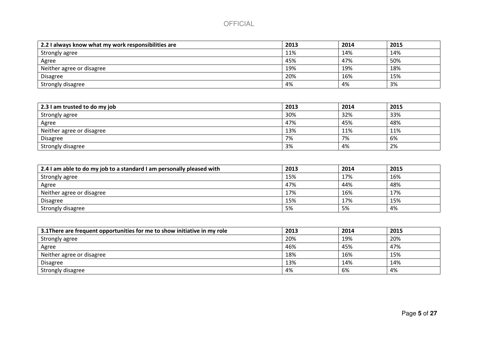| 2.2 I always know what my work responsibilities are | 2013 | 2014 | 2015 |
|-----------------------------------------------------|------|------|------|
| Strongly agree                                      | 11%  | 14%  | 14%  |
| Agree                                               | 45%  | 47%  | 50%  |
| Neither agree or disagree                           | 19%  | 19%  | 18%  |
| <b>Disagree</b>                                     | 20%  | 16%  | 15%  |
| Strongly disagree                                   | 4%   | 4%   | 3%   |

| 2.3 I am trusted to do my job | 2013 | 2014 | 2015 |
|-------------------------------|------|------|------|
| Strongly agree                | 30%  | 32%  | 33%  |
| Agree                         | 47%  | 45%  | 48%  |
| Neither agree or disagree     | 13%  | 11%  | 11%  |
| Disagree                      | 7%   | 7%   | 6%   |
| Strongly disagree             | 3%   | 4%   | 2%   |

| 2.4 I am able to do my job to a standard I am personally pleased with | 2013 | 2014 | 2015 |
|-----------------------------------------------------------------------|------|------|------|
| Strongly agree                                                        | 15%  | 17%  | 16%  |
| Agree                                                                 | 47%  | 44%  | 48%  |
| Neither agree or disagree                                             | 17%  | 16%  | 17%  |
| <b>Disagree</b>                                                       | 15%  | 17%  | 15%  |
| Strongly disagree                                                     | 5%   | 5%   | 4%   |

| 3.1 There are frequent opportunities for me to show initiative in my role | 2013 | 2014 | 2015 |
|---------------------------------------------------------------------------|------|------|------|
| Strongly agree                                                            | 20%  | 19%  | 20%  |
| Agree                                                                     | 46%  | 45%  | 47%  |
| Neither agree or disagree                                                 | 18%  | 16%  | 15%  |
| Disagree                                                                  | 13%  | 14%  | 14%  |
| Strongly disagree                                                         | 4%   | 6%   | 4%   |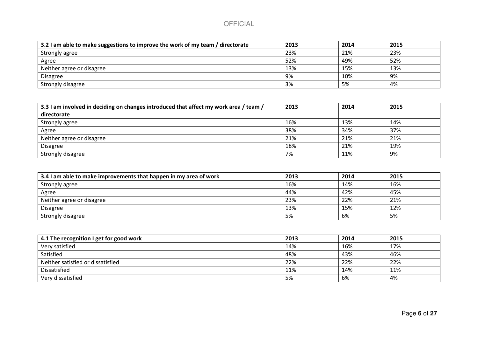| 3.2 I am able to make suggestions to improve the work of my team / directorate | 2013 | 2014 | 2015 |
|--------------------------------------------------------------------------------|------|------|------|
| Strongly agree                                                                 | 23%  | 21%  | 23%  |
| Agree                                                                          | 52%  | 49%  | 52%  |
| Neither agree or disagree                                                      | 13%  | 15%  | 13%  |
| <b>Disagree</b>                                                                | 9%   | 10%  | 9%   |
| Strongly disagree                                                              | 3%   | 5%   | 4%   |

| 3.3 I am involved in deciding on changes introduced that affect my work area / team / | 2013 | 2014 | 2015 |
|---------------------------------------------------------------------------------------|------|------|------|
| directorate                                                                           |      |      |      |
| Strongly agree                                                                        | 16%  | 13%  | 14%  |
| Agree                                                                                 | 38%  | 34%  | 37%  |
| Neither agree or disagree                                                             | 21%  | 21%  | 21%  |
| <b>Disagree</b>                                                                       | 18%  | 21%  | 19%  |
| Strongly disagree                                                                     | 7%   | 11%  | 9%   |

| 3.4 I am able to make improvements that happen in my area of work | 2013 | 2014 | 2015 |
|-------------------------------------------------------------------|------|------|------|
| Strongly agree                                                    | 16%  | 14%  | 16%  |
| Agree                                                             | 44%  | 42%  | 45%  |
| Neither agree or disagree                                         | 23%  | 22%  | 21%  |
| <b>Disagree</b>                                                   | 13%  | 15%  | 12%  |
| Strongly disagree                                                 | 5%   | 6%   | 5%   |

| 4.1 The recognition I get for good work | 2013 | 2014 | 2015 |
|-----------------------------------------|------|------|------|
| Very satisfied                          | 14%  | 16%  | 17%  |
| Satisfied                               | 48%  | 43%  | 46%  |
| Neither satisfied or dissatisfied       | 22%  | 22%  | 22%  |
| Dissatisfied                            | 11%  | 14%  | 11%  |
| Very dissatisfied                       | - 5% | 6%   | 4%   |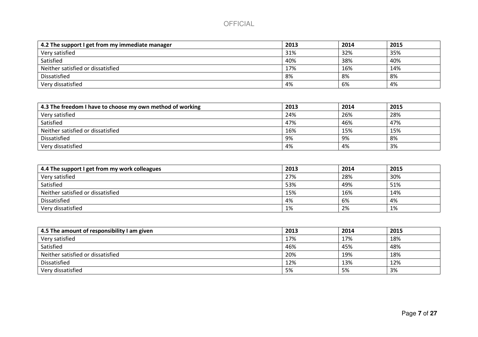| 4.2 The support I get from my immediate manager | 2013 | 2014 | 2015 |
|-------------------------------------------------|------|------|------|
| Very satisfied                                  | 31%  | 32%  | 35%  |
| Satisfied                                       | 40%  | 38%  | 40%  |
| Neither satisfied or dissatisfied               | 17%  | 16%  | 14%  |
| Dissatisfied                                    | 8%   | 8%   | 8%   |
| Very dissatisfied                               | 4%   | 6%   | 4%   |

| 4.3 The freedom I have to choose my own method of working | 2013 | 2014 | 2015 |
|-----------------------------------------------------------|------|------|------|
| Very satisfied                                            | 24%  | 26%  | 28%  |
| Satisfied                                                 | 47%  | 46%  | 47%  |
| Neither satisfied or dissatisfied                         | 16%  | 15%  | 15%  |
| Dissatisfied                                              | 9%   | 9%   | 8%   |
| Very dissatisfied                                         | 4%   | 4%   | 3%   |

| 4.4 The support I get from my work colleagues | 2013 | 2014 | 2015 |
|-----------------------------------------------|------|------|------|
| Very satisfied                                | 27%  | 28%  | 30%  |
| Satisfied                                     | 53%  | 49%  | 51%  |
| Neither satisfied or dissatisfied             | 15%  | 16%  | 14%  |
| Dissatisfied                                  | 4%   | 6%   | 4%   |
| Very dissatisfied                             | 1%   | 2%   | 1%   |

| 4.5 The amount of responsibility I am given | 2013 | 2014 | 2015 |
|---------------------------------------------|------|------|------|
| Very satisfied                              | 17%  | 17%  | 18%  |
| Satisfied                                   | 46%  | 45%  | 48%  |
| Neither satisfied or dissatisfied           | 20%  | 19%  | 18%  |
| Dissatisfied                                | 12%  | 13%  | 12%  |
| Very dissatisfied                           | 5%   | 5%   | 3%   |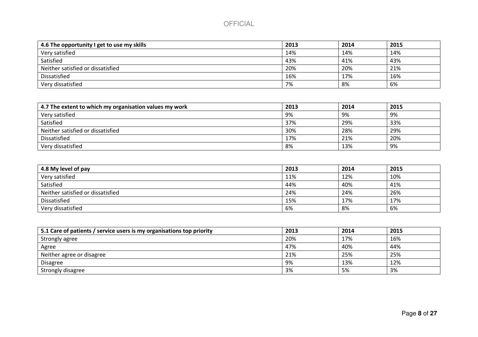| 4.6 The opportunity I get to use my skills | 2013 | 2014 | 2015 |
|--------------------------------------------|------|------|------|
| Very satisfied                             | 14%  | 14%  | 14%  |
| Satisfied                                  | 43%  | 41%  | 43%  |
| Neither satisfied or dissatisfied          | 20%  | 20%  | 21%  |
| Dissatisfied                               | 16%  | 17%  | 16%  |
| Very dissatisfied                          | 7%   | 8%   | 6%   |

| 4.7 The extent to which my organisation values my work | 2013 | 2014 | 2015 |
|--------------------------------------------------------|------|------|------|
| Very satisfied                                         | 9%   | 9%   | 9%   |
| Satisfied                                              | 37%  | 29%  | 33%  |
| Neither satisfied or dissatisfied                      | 30%  | 28%  | 29%  |
| Dissatisfied                                           | 17%  | 21%  | 20%  |
| Very dissatisfied                                      | 8%   | 13%  | 9%   |

| 4.8 My level of pay               | 2013 | 2014 | 2015 |
|-----------------------------------|------|------|------|
| Very satisfied                    | 11%  | 12%  | 10%  |
| Satisfied                         | 44%  | 40%  | 41%  |
| Neither satisfied or dissatisfied | 24%  | 24%  | 26%  |
| Dissatisfied                      | 15%  | 17%  | 17%  |
| Very dissatisfied                 | 6%   | 8%   | 6%   |

| 5.1 Care of patients / service users is my organisations top priority | 2013 | 2014 | 2015 |
|-----------------------------------------------------------------------|------|------|------|
| Strongly agree                                                        | 20%  | 17%  | 16%  |
| Agree                                                                 | 47%  | 40%  | 44%  |
| Neither agree or disagree                                             | 21%  | 25%  | 25%  |
| Disagree                                                              | 9%   | 13%  | 12%  |
| Strongly disagree                                                     | 3%   | 5%   | 3%   |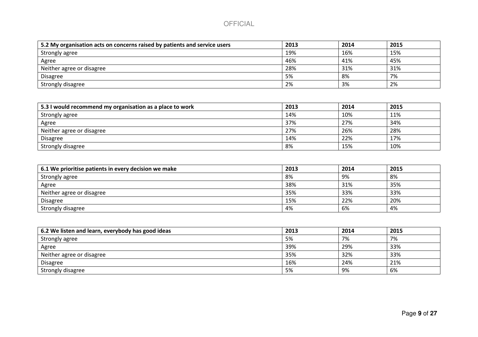| 5.2 My organisation acts on concerns raised by patients and service users | 2013 | 2014 | 2015 |
|---------------------------------------------------------------------------|------|------|------|
| Strongly agree                                                            | 19%  | 16%  | 15%  |
| Agree                                                                     | 46%  | 41%  | 45%  |
| Neither agree or disagree                                                 | 28%  | 31%  | 31%  |
| <b>Disagree</b>                                                           | 5%   | 8%   | 7%   |
| Strongly disagree                                                         | 2%   | 3%   | 2%   |

| 5.3 I would recommend my organisation as a place to work | 2013 | 2014 | 2015 |
|----------------------------------------------------------|------|------|------|
| Strongly agree                                           | 14%  | 10%  | 11%  |
| Agree                                                    | 37%  | 27%  | 34%  |
| Neither agree or disagree                                | 27%  | 26%  | 28%  |
| <b>Disagree</b>                                          | 14%  | 22%  | 17%  |
| Strongly disagree                                        | 8%   | 15%  | 10%  |

| 6.1 We prioritise patients in every decision we make | 2013 | 2014 | 2015 |
|------------------------------------------------------|------|------|------|
| Strongly agree                                       | 8%   | 9%   | 8%   |
| Agree                                                | 38%  | 31%  | 35%  |
| Neither agree or disagree                            | 35%  | 33%  | 33%  |
| <b>Disagree</b>                                      | 15%  | 22%  | 20%  |
| Strongly disagree                                    | 4%   | 6%   | 4%   |

| 6.2 We listen and learn, everybody has good ideas | 2013 | 2014 | 2015 |
|---------------------------------------------------|------|------|------|
| Strongly agree                                    | 5%   | 7%   | 7%   |
| Agree                                             | 39%  | 29%  | 33%  |
| Neither agree or disagree                         | 35%  | 32%  | 33%  |
| Disagree                                          | 16%  | 24%  | 21%  |
| Strongly disagree                                 | 5%   | 9%   | 6%   |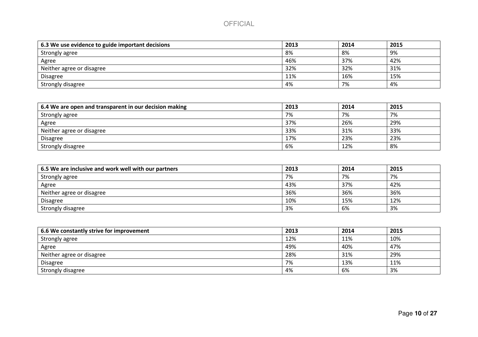| 6.3 We use evidence to guide important decisions | 2013 | 2014 | 2015 |
|--------------------------------------------------|------|------|------|
| Strongly agree                                   | 8%   | 8%   | 9%   |
| Agree                                            | 46%  | 37%  | 42%  |
| Neither agree or disagree                        | 32%  | 32%  | 31%  |
| <b>Disagree</b>                                  | 11%  | 16%  | 15%  |
| Strongly disagree                                | 4%   | 7%   | 4%   |

| 6.4 We are open and transparent in our decision making | 2013 | 2014 | 2015 |
|--------------------------------------------------------|------|------|------|
| Strongly agree                                         | 7%   | 7%   | 7%   |
| Agree                                                  | 37%  | 26%  | 29%  |
| Neither agree or disagree                              | 33%  | 31%  | 33%  |
| <b>Disagree</b>                                        | 17%  | 23%  | 23%  |
| Strongly disagree                                      | 6%   | 12%  | 8%   |

| 6.5 We are inclusive and work well with our partners | 2013 | 2014 | 2015 |
|------------------------------------------------------|------|------|------|
| Strongly agree                                       | 7%   | 7%   | 7%   |
| Agree                                                | 43%  | 37%  | 42%  |
| Neither agree or disagree                            | 36%  | 36%  | 36%  |
| <b>Disagree</b>                                      | 10%  | 15%  | 12%  |
| Strongly disagree                                    | 3%   | 6%   | 3%   |

| 6.6 We constantly strive for improvement | 2013 | 2014 | 2015 |
|------------------------------------------|------|------|------|
| Strongly agree                           | 12%  | 11%  | 10%  |
| Agree                                    | 49%  | 40%  | 47%  |
| Neither agree or disagree                | 28%  | 31%  | 29%  |
| Disagree                                 | 7%   | 13%  | 11%  |
| Strongly disagree                        | 4%   | 6%   | 3%   |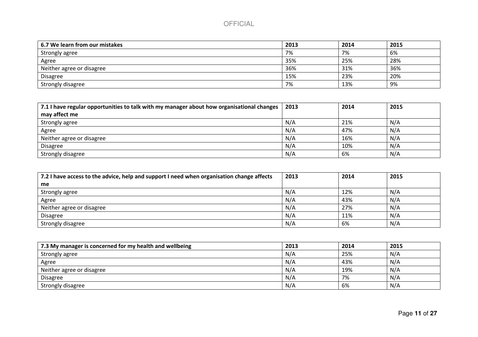| 6.7 We learn from our mistakes | 2013 | 2014 | 2015 |
|--------------------------------|------|------|------|
| Strongly agree                 | 7%   | 7%   | 6%   |
| Agree                          | 35%  | 25%  | 28%  |
| Neither agree or disagree      | 36%  | 31%  | 36%  |
| <b>Disagree</b>                | 15%  | 23%  | 20%  |
| Strongly disagree              | 7%   | 13%  | 9%   |

| 7.1 I have regular opportunities to talk with my manager about how organisational changes | 2013 | 2014 | 2015 |
|-------------------------------------------------------------------------------------------|------|------|------|
| may affect me                                                                             |      |      |      |
| Strongly agree                                                                            | N/A  | 21%  | N/A  |
| Agree                                                                                     | N/A  | 47%  | N/A  |
| Neither agree or disagree                                                                 | N/A  | 16%  | N/A  |
| <b>Disagree</b>                                                                           | N/A  | 10%  | N/A  |
| Strongly disagree                                                                         | N/A  | 6%   | N/A  |

| 7.2 I have access to the advice, help and support I need when organisation change affects | 2013 | 2014 | 2015 |
|-------------------------------------------------------------------------------------------|------|------|------|
| me                                                                                        |      |      |      |
| Strongly agree                                                                            | N/A  | 12%  | N/A  |
| Agree                                                                                     | N/A  | 43%  | N/A  |
| Neither agree or disagree                                                                 | N/A  | 27%  | N/A  |
| <b>Disagree</b>                                                                           | N/A  | 11%  | N/A  |
| Strongly disagree                                                                         | N/A  | 6%   | N/A  |

| 7.3 My manager is concerned for my health and wellbeing | 2013 | 2014 | 2015 |
|---------------------------------------------------------|------|------|------|
| Strongly agree                                          | N/A  | 25%  | N/A  |
| Agree                                                   | N/A  | 43%  | N/A  |
| Neither agree or disagree                               | N/A  | 19%  | N/A  |
| <b>Disagree</b>                                         | N/A  | 7%   | N/A  |
| Strongly disagree                                       | N/A  | 6%   | N/A  |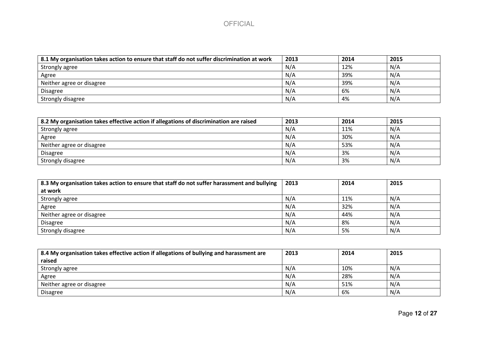| 8.1 My organisation takes action to ensure that staff do not suffer discrimination at work | 2013 | 2014 | 2015 |
|--------------------------------------------------------------------------------------------|------|------|------|
| Strongly agree                                                                             | N/A  | 12%  | N/A  |
| Agree                                                                                      | N/A  | 39%  | N/A  |
| Neither agree or disagree                                                                  | N/A  | 39%  | N/A  |
| <b>Disagree</b>                                                                            | N/A  | 6%   | N/A  |
| Strongly disagree                                                                          | N/A  | 4%   | N/A  |

| 8.2 My organisation takes effective action if allegations of discrimination are raised | 2013 | 2014 | 2015 |
|----------------------------------------------------------------------------------------|------|------|------|
| Strongly agree                                                                         | N/A  | 11%  | N/A  |
| Agree                                                                                  | N/A  | 30%  | N/A  |
| Neither agree or disagree                                                              | N/A  | 53%  | N/A  |
| <b>Disagree</b>                                                                        | N/A  | 3%   | N/A  |
| Strongly disagree                                                                      | N/A  | 3%   | N/A  |

| 8.3 My organisation takes action to ensure that staff do not suffer harassment and bullying | 2013 | 2014 | 2015 |
|---------------------------------------------------------------------------------------------|------|------|------|
| at work                                                                                     |      |      |      |
| Strongly agree                                                                              | N/A  | 11%  | N/A  |
| Agree                                                                                       | N/A  | 32%  | N/A  |
| Neither agree or disagree                                                                   | N/A  | 44%  | N/A  |
| <b>Disagree</b>                                                                             | N/A  | 8%   | N/A  |
| Strongly disagree                                                                           | N/A  | 5%   | N/A  |

| 8.4 My organisation takes effective action if allegations of bullying and harassment are | 2013 | 2014 | 2015 |
|------------------------------------------------------------------------------------------|------|------|------|
| raised                                                                                   |      |      |      |
| Strongly agree                                                                           | N/A  | 10%  | N/A  |
| Agree                                                                                    | N/A  | 28%  | N/A  |
| Neither agree or disagree                                                                | N/A  | 51%  | N/A  |
| <b>Disagree</b>                                                                          | N/A  | 6%   | N/A  |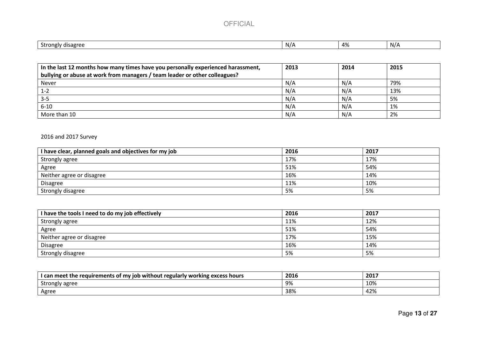|  | . ulsagre<br>nnon<br>ווס<br>$\sim$ | N/A | 4% | N/A |
|--|------------------------------------|-----|----|-----|
|--|------------------------------------|-----|----|-----|

| In the last 12 months how many times have you personally experienced harassment, | 2013 | 2014 | 2015 |
|----------------------------------------------------------------------------------|------|------|------|
| bullying or abuse at work from managers / team leader or other colleagues?       |      |      |      |
| <b>Never</b>                                                                     | N/A  | N/A  | 79%  |
| $1 - 2$                                                                          | N/A  | N/A  | 13%  |
| $3 - 5$                                                                          | N/A  | N/A  | 5%   |
| $6 - 10$                                                                         | N/A  | N/A  | 1%   |
| More than 10                                                                     | N/A  | N/A  | 2%   |

#### 2016 and 2017 Survey

| I have clear, planned goals and objectives for my job | 2016 | 2017 |
|-------------------------------------------------------|------|------|
| Strongly agree                                        | 17%  | 17%  |
| Agree                                                 | 51%  | 54%  |
| Neither agree or disagree                             | 16%  | 14%  |
| Disagree                                              | 11%  | 10%  |
| Strongly disagree                                     | 5%   | 5%   |

| I have the tools I need to do my job effectively | 2016 | 2017 |
|--------------------------------------------------|------|------|
| Strongly agree                                   | 11%  | 12%  |
| Agree                                            | 51%  | 54%  |
| Neither agree or disagree                        | 17%  | 15%  |
| Disagree                                         | 16%  | 14%  |
| Strongly disagree                                | 5%   | 5%   |

| I can meet the requirements of my job without regularly working excess hours | 2016 | 2017 |
|------------------------------------------------------------------------------|------|------|
| Strongly agree                                                               | 9%   | 10%  |
| Agree                                                                        | 38%  | 42%  |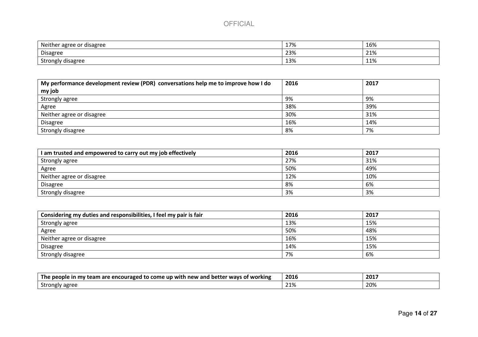| <b>Neit</b><br>ther agree or<br>disagree | 17% | 16% |
|------------------------------------------|-----|-----|
| <b>Disagree</b>                          | 23% | 21% |
| <u>.</u><br>Strongh<br>disagree          | 13% | 11% |

| My performance development review (PDR) conversations help me to improve how I do | 2016 | 2017 |
|-----------------------------------------------------------------------------------|------|------|
| my job                                                                            |      |      |
| Strongly agree                                                                    | 9%   | 9%   |
| Agree                                                                             | 38%  | 39%  |
| Neither agree or disagree                                                         | 30%  | 31%  |
| <b>Disagree</b>                                                                   | 16%  | 14%  |
| Strongly disagree                                                                 | 8%   | 7%   |

| I am trusted and empowered to carry out my job effectively | 2016 | 2017 |
|------------------------------------------------------------|------|------|
| Strongly agree                                             | 27%  | 31%  |
| Agree                                                      | 50%  | 49%  |
| Neither agree or disagree                                  | 12%  | 10%  |
| <b>Disagree</b>                                            | 8%   | 6%   |
| Strongly disagree                                          | 3%   | 3%   |

| Considering my duties and responsibilities, I feel my pair is fair | 2016 | 2017 |
|--------------------------------------------------------------------|------|------|
| Strongly agree                                                     | 13%  | 15%  |
| Agree                                                              | 50%  | 48%  |
| Neither agree or disagree                                          | 16%  | 15%  |
| <b>Disagree</b>                                                    | 14%  | 15%  |
| Strongly disagree                                                  | 7%   | 6%   |

| <b>The</b><br>encouraged ؛<br>l to come up with<br>new and bet<br>, of working<br>r wavs<br>people<br>ın mv<br>.cer<br>are :<br>team | 2016        | 2017 |
|--------------------------------------------------------------------------------------------------------------------------------------|-------------|------|
| Strongl<br>agree                                                                                                                     | 710/<br>210 | 20%  |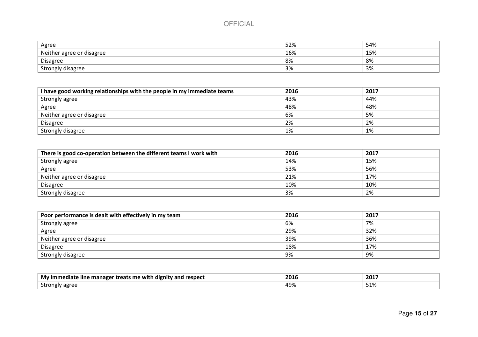| Agree                     | 52% | 54% |
|---------------------------|-----|-----|
| Neither agree or disagree | 16% | 15% |
| <b>Disagree</b>           | 8%  | 8%  |
| Strongly disagree         | 3%  | 3%  |

| I have good working relationships with the people in my immediate teams | 2016 | 2017 |
|-------------------------------------------------------------------------|------|------|
| Strongly agree                                                          | 43%  | 44%  |
| Agree                                                                   | 48%  | 48%  |
| Neither agree or disagree                                               | 6%   | 5%   |
| <b>Disagree</b>                                                         | 2%   | 2%   |
| Strongly disagree                                                       | 1%   | 1%   |

| There is good co-operation between the different teams I work with | 2016 | 2017 |
|--------------------------------------------------------------------|------|------|
| Strongly agree                                                     | 14%  | 15%  |
| Agree                                                              | 53%  | 56%  |
| Neither agree or disagree                                          | 21%  | 17%  |
| <b>Disagree</b>                                                    | 10%  | 10%  |
| Strongly disagree                                                  | 3%   | 2%   |

| Poor performance is dealt with effectively in my team | 2016 | 2017 |
|-------------------------------------------------------|------|------|
| Strongly agree                                        | 6%   | 7%   |
| Agree                                                 | 29%  | 32%  |
| Neither agree or disagree                             | 39%  | 36%  |
| <b>Disagree</b>                                       | 18%  | 17%  |
| Strongly disagree                                     | 9%   | 9%   |

| $\sim$ $\sim$<br><br>. .<br>Mv<br><b>respect</b><br>treats me with<br>dign<br>: managei<br>.<br>nity<br>' ano<br><b>line</b><br>mmeorate | 2016 | 2017            |
|------------------------------------------------------------------------------------------------------------------------------------------|------|-----------------|
| agree<br>strc<br>ισιν<br><b>JUULLE</b>                                                                                                   | 49%  | $-10$<br>0⊥ / س |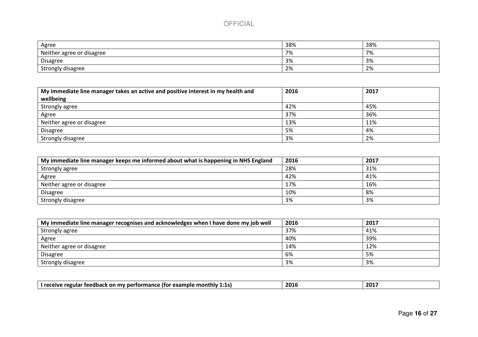| Agree                     | 38%      | 38% |
|---------------------------|----------|-----|
| Neither agree or disagree | 70<br>7٥ | 7%  |
| <b>Disagree</b>           | 3%       | 3%  |
| Strongly disagree         | 2%       | 2%  |

| My immediate line manager takes an active and positive interest in my health and | 2016 | 2017 |
|----------------------------------------------------------------------------------|------|------|
| wellbeing                                                                        |      |      |
| Strongly agree                                                                   | 42%  | 45%  |
| Agree                                                                            | 37%  | 36%  |
| Neither agree or disagree                                                        | 13%  | 11%  |
| <b>Disagree</b>                                                                  | 5%   | 4%   |
| Strongly disagree                                                                | 3%   | 2%   |

| My immediate line manager keeps me informed about what is happening in NHS England | 2016 | 2017 |
|------------------------------------------------------------------------------------|------|------|
| Strongly agree                                                                     | 28%  | 31%  |
| Agree                                                                              | 42%  | 41%  |
| Neither agree or disagree                                                          | 17%  | 16%  |
| <b>Disagree</b>                                                                    | 10%  | 8%   |
| Strongly disagree                                                                  | 3%   | 3%   |

| My immediate line manager recognises and acknowledges when I have done my job well | 2016 | 2017 |
|------------------------------------------------------------------------------------|------|------|
| Strongly agree                                                                     | 37%  | 41%  |
| Agree                                                                              | 40%  | 39%  |
| Neither agree or disagree                                                          | 14%  | 12%  |
| Disagree                                                                           | 6%   | 5%   |
| Strongly disagree                                                                  | 3%   | 3%   |

| anive regular foodhamic<br>l •1 e<br>. monthly<br>Av-<br>-xample<br>nn<br>тол<br>mv<br>то<br>manc<br>L.LJ <i>i</i> | <b>201</b> | ່າດ•ົ |
|--------------------------------------------------------------------------------------------------------------------|------------|-------|
|                                                                                                                    |            |       |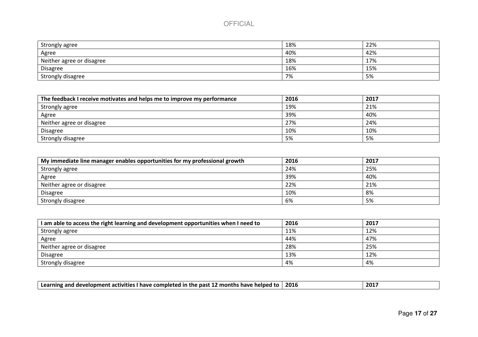| Strongly agree            | 18% | 22% |
|---------------------------|-----|-----|
| Agree                     | 40% | 42% |
| Neither agree or disagree | 18% | 17% |
| Disagree                  | 16% | 15% |
| Strongly disagree         | 7%  | 5%  |

| The feedback I receive motivates and helps me to improve my performance | 2016 | 2017 |
|-------------------------------------------------------------------------|------|------|
| Strongly agree                                                          | 19%  | 21%  |
| Agree                                                                   | 39%  | 40%  |
| Neither agree or disagree                                               | 27%  | 24%  |
| Disagree                                                                | 10%  | 10%  |
| Strongly disagree                                                       | 5%   | 5%   |

| My immediate line manager enables opportunities for my professional growth | 2016 | 2017 |
|----------------------------------------------------------------------------|------|------|
| Strongly agree                                                             | 24%  | 25%  |
| Agree                                                                      | 39%  | 40%  |
| Neither agree or disagree                                                  | 22%  | 21%  |
| <b>Disagree</b>                                                            | 10%  | 8%   |
| Strongly disagree                                                          | 6%   | 5%   |

| I am able to access the right learning and development opportunities when I need to | 2016 | 2017 |
|-------------------------------------------------------------------------------------|------|------|
| Strongly agree                                                                      | 11%  | 12%  |
| Agree                                                                               | 44%  | 47%  |
| Neither agree or disagree                                                           | 28%  | 25%  |
| <b>Disagree</b>                                                                     | 13%  | 12%  |
| Strongly disagree                                                                   | 4%   | 4%   |

| g and development activities I have completed in the past 12 i<br>! months<br>  Learning<br>s have helped | 2016 | 201 |
|-----------------------------------------------------------------------------------------------------------|------|-----|
|-----------------------------------------------------------------------------------------------------------|------|-----|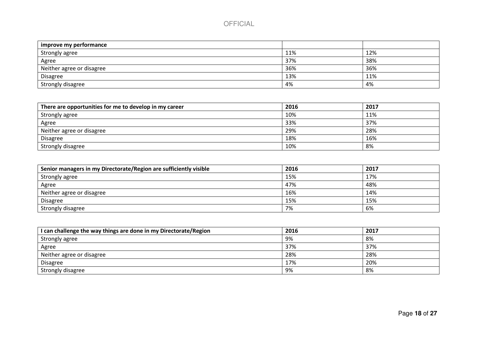| improve my performance    |     |     |
|---------------------------|-----|-----|
| Strongly agree            | 11% | 12% |
| Agree                     | 37% | 38% |
| Neither agree or disagree | 36% | 36% |
| <b>Disagree</b>           | 13% | 11% |
| Strongly disagree         | 4%  | 4%  |

| There are opportunities for me to develop in my career | 2016 | 2017 |
|--------------------------------------------------------|------|------|
| Strongly agree                                         | 10%  | 11%  |
| Agree                                                  | 33%  | 37%  |
| Neither agree or disagree                              | 29%  | 28%  |
| <b>Disagree</b>                                        | 18%  | 16%  |
| Strongly disagree                                      | 10%  | 8%   |

| Senior managers in my Directorate/Region are sufficiently visible | 2016 | 2017 |
|-------------------------------------------------------------------|------|------|
| Strongly agree                                                    | 15%  | 17%  |
| Agree                                                             | 47%  | 48%  |
| Neither agree or disagree                                         | 16%  | 14%  |
| Disagree                                                          | 15%  | 15%  |
| Strongly disagree                                                 | 7%   | 6%   |

| I can challenge the way things are done in my Directorate/Region | 2016 | 2017 |
|------------------------------------------------------------------|------|------|
| Strongly agree                                                   | 9%   | 8%   |
| Agree                                                            | 37%  | 37%  |
| Neither agree or disagree                                        | 28%  | 28%  |
| Disagree                                                         | 17%  | 20%  |
| Strongly disagree                                                | 9%   | 8%   |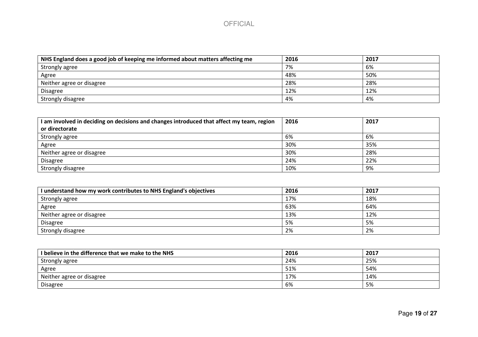| NHS England does a good job of keeping me informed about matters affecting me | 2016 | 2017 |
|-------------------------------------------------------------------------------|------|------|
| Strongly agree                                                                | 7%   | 6%   |
| Agree                                                                         | 48%  | 50%  |
| Neither agree or disagree                                                     | 28%  | 28%  |
| <b>Disagree</b>                                                               | 12%  | 12%  |
| Strongly disagree                                                             | 4%   | 4%   |

| I am involved in deciding on decisions and changes introduced that affect my team, region | 2016 | 2017 |
|-------------------------------------------------------------------------------------------|------|------|
| or directorate                                                                            |      |      |
| Strongly agree                                                                            | 6%   | 6%   |
| Agree                                                                                     | 30%  | 35%  |
| Neither agree or disagree                                                                 | 30%  | 28%  |
| <b>Disagree</b>                                                                           | 24%  | 22%  |
| Strongly disagree                                                                         | 10%  | 9%   |

| I understand how my work contributes to NHS England's objectives | 2016 | 2017 |
|------------------------------------------------------------------|------|------|
| Strongly agree                                                   | 17%  | 18%  |
| Agree                                                            | 63%  | 64%  |
| Neither agree or disagree                                        | 13%  | 12%  |
| Disagree                                                         | 5%   | 5%   |
| Strongly disagree                                                | 2%   | 2%   |

| I believe in the difference that we make to the NHS | 2016 | 2017 |
|-----------------------------------------------------|------|------|
| Strongly agree                                      | 24%  | 25%  |
| Agree                                               | 51%  | 54%  |
| Neither agree or disagree                           | 17%  | 14%  |
| <b>Disagree</b>                                     | 6%   | 5%   |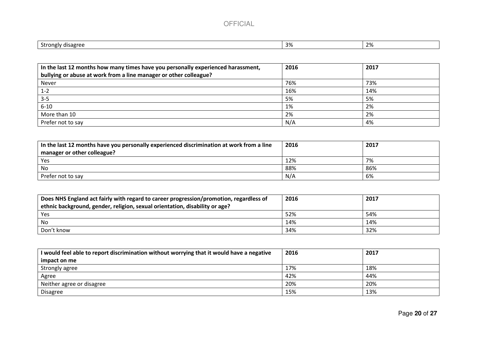| $\sim$<br>ΩT<br>.<br>. .<br>ັບເ<br>. .<br>. . | $\Omega$<br>ے د | ിറ<br>- 20<br>_ |
|-----------------------------------------------|-----------------|-----------------|
|                                               |                 |                 |

| In the last 12 months how many times have you personally experienced harassment, | 2016 | 2017 |
|----------------------------------------------------------------------------------|------|------|
| bullying or abuse at work from a line manager or other colleague?                |      |      |
| <b>Never</b>                                                                     | 76%  | 73%  |
| $1 - 2$                                                                          | 16%  | 14%  |
| $3 - 5$                                                                          | 5%   | 5%   |
| $6 - 10$                                                                         | 1%   | 2%   |
| More than 10                                                                     | 2%   | 2%   |
| Prefer not to say                                                                | N/A  | 4%   |

| In the last 12 months have you personally experienced discrimination at work from a line | 2016 | 2017 |
|------------------------------------------------------------------------------------------|------|------|
| manager or other colleague?                                                              |      |      |
| Yes                                                                                      | 12%  | 7%   |
| No                                                                                       | 88%  | 86%  |
| Prefer not to say                                                                        | N/A  | 6%   |

| Does NHS England act fairly with regard to career progression/promotion, regardless of | 2016 | 2017 |
|----------------------------------------------------------------------------------------|------|------|
| ethnic background, gender, religion, sexual orientation, disability or age?            |      |      |
| Yes                                                                                    | 52%  | 54%  |
| <b>No</b>                                                                              | 14%  | 14%  |
| Don't know                                                                             | 34%  | 32%  |

| I would feel able to report discrimination without worrying that it would have a negative | 2016 | 2017 |
|-------------------------------------------------------------------------------------------|------|------|
| impact on me                                                                              |      |      |
| Strongly agree                                                                            | 17%  | 18%  |
| Agree                                                                                     | 42%  | 44%  |
| Neither agree or disagree                                                                 | 20%  | 20%  |
| <b>Disagree</b>                                                                           | 15%  | 13%  |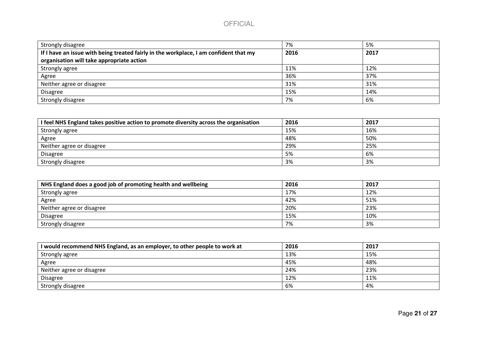| Strongly disagree                                                                     | 7%   | 5%   |
|---------------------------------------------------------------------------------------|------|------|
| If I have an issue with being treated fairly in the workplace, I am confident that my | 2016 | 2017 |
| organisation will take appropriate action                                             |      |      |
| Strongly agree                                                                        | 11%  | 12%  |
| Agree                                                                                 | 36%  | 37%  |
| Neither agree or disagree                                                             | 31%  | 31%  |
| <b>Disagree</b>                                                                       | 15%  | 14%  |
| Strongly disagree                                                                     | 7%   | 6%   |

| I feel NHS England takes positive action to promote diversity across the organisation | 2016 | 2017 |
|---------------------------------------------------------------------------------------|------|------|
| Strongly agree                                                                        | 15%  | 16%  |
| Agree                                                                                 | 48%  | 50%  |
| Neither agree or disagree                                                             | 29%  | 25%  |
| <b>Disagree</b>                                                                       | 5%   | 6%   |
| Strongly disagree                                                                     | 3%   | 3%   |

| NHS England does a good job of promoting health and wellbeing | 2016 | 2017 |
|---------------------------------------------------------------|------|------|
| Strongly agree                                                | 17%  | 12%  |
| Agree                                                         | 42%  | 51%  |
| Neither agree or disagree                                     | 20%  | 23%  |
| Disagree                                                      | 15%  | 10%  |
| Strongly disagree                                             | 7%   | 3%   |

| I would recommend NHS England, as an employer, to other people to work at | 2016 | 2017 |
|---------------------------------------------------------------------------|------|------|
| Strongly agree                                                            | 13%  | 15%  |
| Agree                                                                     | 45%  | 48%  |
| Neither agree or disagree                                                 | 24%  | 23%  |
| <b>Disagree</b>                                                           | 12%  | 11%  |
| Strongly disagree                                                         | 6%   | 4%   |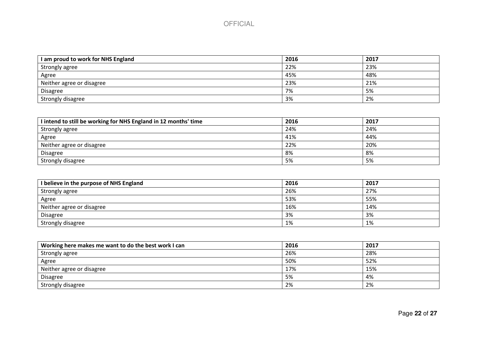| I am proud to work for NHS England | 2016 | 2017 |
|------------------------------------|------|------|
| Strongly agree                     | 22%  | 23%  |
| Agree                              | 45%  | 48%  |
| Neither agree or disagree          | 23%  | 21%  |
| <b>Disagree</b>                    | 7%   | 5%   |
| Strongly disagree                  | 3%   | 2%   |

| I intend to still be working for NHS England in 12 months' time | 2016 | 2017 |
|-----------------------------------------------------------------|------|------|
| Strongly agree                                                  | 24%  | 24%  |
| Agree                                                           | 41%  | 44%  |
| Neither agree or disagree                                       | 22%  | 20%  |
| Disagree                                                        | 8%   | 8%   |
| Strongly disagree                                               | 5%   | 5%   |

| I believe in the purpose of NHS England | 2016 | 2017 |
|-----------------------------------------|------|------|
| Strongly agree                          | 26%  | 27%  |
| Agree                                   | 53%  | 55%  |
| Neither agree or disagree               | 16%  | 14%  |
| Disagree                                | 3%   | 3%   |
| Strongly disagree                       | 1%   | 1%   |

| Working here makes me want to do the best work I can | 2016 | 2017 |
|------------------------------------------------------|------|------|
| Strongly agree                                       | 26%  | 28%  |
| Agree                                                | 50%  | 52%  |
| Neither agree or disagree                            | 17%  | 15%  |
| <b>Disagree</b>                                      | 5%   | 4%   |
| Strongly disagree                                    | 2%   | 2%   |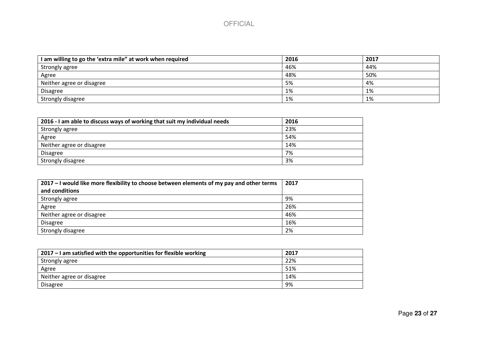| I am willing to go the 'extra mile" at work when required | 2016 | 2017 |
|-----------------------------------------------------------|------|------|
| Strongly agree                                            | 46%  | 44%  |
| Agree                                                     | 48%  | 50%  |
| Neither agree or disagree                                 | 5%   | 4%   |
| Disagree                                                  | 1%   | 1%   |
| Strongly disagree                                         | 1%   | 1%   |

| 2016 - I am able to discuss ways of working that suit my individual needs | 2016 |
|---------------------------------------------------------------------------|------|
| Strongly agree                                                            | 23%  |
| Agree                                                                     | 54%  |
| Neither agree or disagree                                                 | 14%  |
| <b>Disagree</b>                                                           | 7%   |
| Strongly disagree                                                         | 3%   |

| 2017 – I would like more flexibility to choose between elements of my pay and other terms | 2017 |
|-------------------------------------------------------------------------------------------|------|
| and conditions                                                                            |      |
| Strongly agree                                                                            | 9%   |
| Agree                                                                                     | 26%  |
| Neither agree or disagree                                                                 | 46%  |
| <b>Disagree</b>                                                                           | 16%  |
| Strongly disagree                                                                         | 2%   |

| $2017 - I$ am satisfied with the opportunities for flexible working | 2017 |
|---------------------------------------------------------------------|------|
| Strongly agree                                                      | 22%  |
| Agree                                                               | 51%  |
| Neither agree or disagree                                           | 14%  |
| <b>Disagree</b>                                                     | 9%   |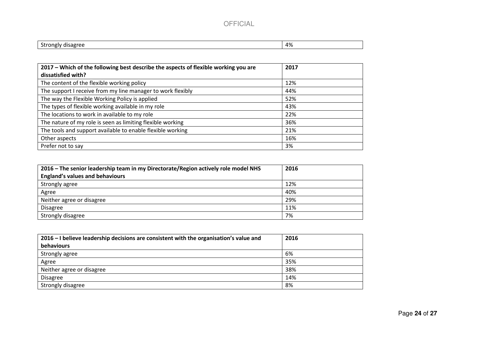| $\Lambda$ O/ |  |       |
|--------------|--|-------|
| . .          |  | - - - |

| 2017 – Which of the following best describe the aspects of flexible working you are | 2017 |
|-------------------------------------------------------------------------------------|------|
| dissatisfied with?                                                                  |      |
| The content of the flexible working policy                                          | 12%  |
| The support I receive from my line manager to work flexibly                         | 44%  |
| The way the Flexible Working Policy is applied                                      | 52%  |
| The types of flexible working available in my role                                  | 43%  |
| The locations to work in available to my role                                       | 22%  |
| The nature of my role is seen as limiting flexible working                          | 36%  |
| The tools and support available to enable flexible working                          | 21%  |
| Other aspects                                                                       | 16%  |
| Prefer not to say                                                                   | 3%   |

| 2016 – The senior leadership team in my Directorate/Region actively role model NHS | 2016 |
|------------------------------------------------------------------------------------|------|
| <b>England's values and behaviours</b>                                             |      |
| Strongly agree                                                                     | 12%  |
| Agree                                                                              | 40%  |
| Neither agree or disagree                                                          | 29%  |
| <b>Disagree</b>                                                                    | 11%  |
| Strongly disagree                                                                  | 7%   |

| 2016 - I believe leadership decisions are consistent with the organisation's value and | 2016 |
|----------------------------------------------------------------------------------------|------|
| behaviours                                                                             |      |
| Strongly agree                                                                         | 6%   |
| Agree                                                                                  | 35%  |
| Neither agree or disagree                                                              | 38%  |
| <b>Disagree</b>                                                                        | 14%  |
| Strongly disagree                                                                      | 8%   |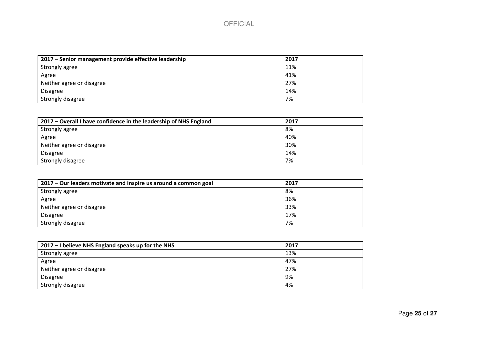| 2017 – Senior management provide effective leadership | 2017 |
|-------------------------------------------------------|------|
| Strongly agree                                        | 11%  |
| Agree                                                 | 41%  |
| Neither agree or disagree                             | 27%  |
| <b>Disagree</b>                                       | 14%  |
| Strongly disagree                                     | 7%   |

| 2017 – Overall I have confidence in the leadership of NHS England | 2017 |
|-------------------------------------------------------------------|------|
| Strongly agree                                                    | 8%   |
| Agree                                                             | 40%  |
| Neither agree or disagree                                         | 30%  |
| <b>Disagree</b>                                                   | 14%  |
| Strongly disagree                                                 | 7%   |

| 2017 – Our leaders motivate and inspire us around a common goal | 2017 |
|-----------------------------------------------------------------|------|
| Strongly agree                                                  | 8%   |
| Agree                                                           | 36%  |
| Neither agree or disagree                                       | 33%  |
| <b>Disagree</b>                                                 | 17%  |
| Strongly disagree                                               | 7%   |

| 2017 - I believe NHS England speaks up for the NHS | 2017 |
|----------------------------------------------------|------|
| Strongly agree                                     | 13%  |
| Agree                                              | 47%  |
| Neither agree or disagree                          | 27%  |
| <b>Disagree</b>                                    | 9%   |
| Strongly disagree                                  | 4%   |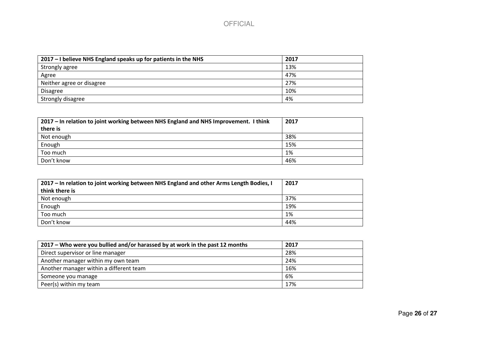| 2017 – I believe NHS England speaks up for patients in the NHS | 2017 |
|----------------------------------------------------------------|------|
| Strongly agree                                                 | 13%  |
| Agree                                                          | 47%  |
| Neither agree or disagree                                      | 27%  |
| <b>Disagree</b>                                                | 10%  |
| Strongly disagree                                              | 4%   |

| 2017 – In relation to joint working between NHS England and NHS Improvement. I think | 2017 |
|--------------------------------------------------------------------------------------|------|
| there is                                                                             |      |
| Not enough                                                                           | 38%  |
| Enough                                                                               | 15%  |
| Too much                                                                             | 1%   |
| Don't know                                                                           | 46%  |

| 2017 - In relation to joint working between NHS England and other Arms Length Bodies, I | 2017 |
|-----------------------------------------------------------------------------------------|------|
| think there is                                                                          |      |
| Not enough                                                                              | 37%  |
| Enough                                                                                  | 19%  |
| Too much                                                                                | 1%   |
| Don't know                                                                              | 44%  |

| 2017 |
|------|
| 28%  |
| 24%  |
| 16%  |
| 6%   |
| 17%  |
|      |